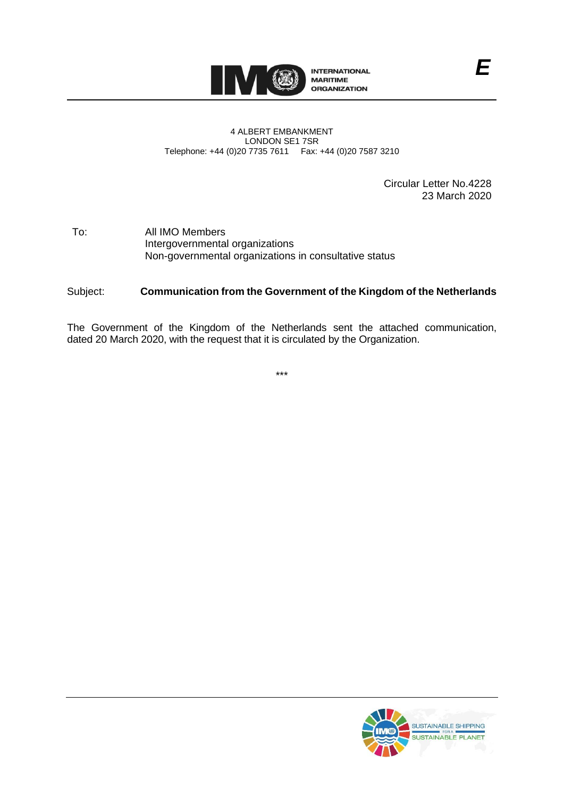

#### 4 ALBERT EMBANKMENT LONDON SE1 7SR Telephone: +44 (0)20 7735 7611 Fax: +44 (0)20 7587 3210

Circular Letter No.4228 23 March 2020

# To: All IMO Members Intergovernmental organizations Non-governmental organizations in consultative status

# Subject: **Communication from the Government of the Kingdom of the Netherlands**

The Government of the Kingdom of the Netherlands sent the attached communication, dated 20 March 2020, with the request that it is circulated by the Organization.

\*\*\*

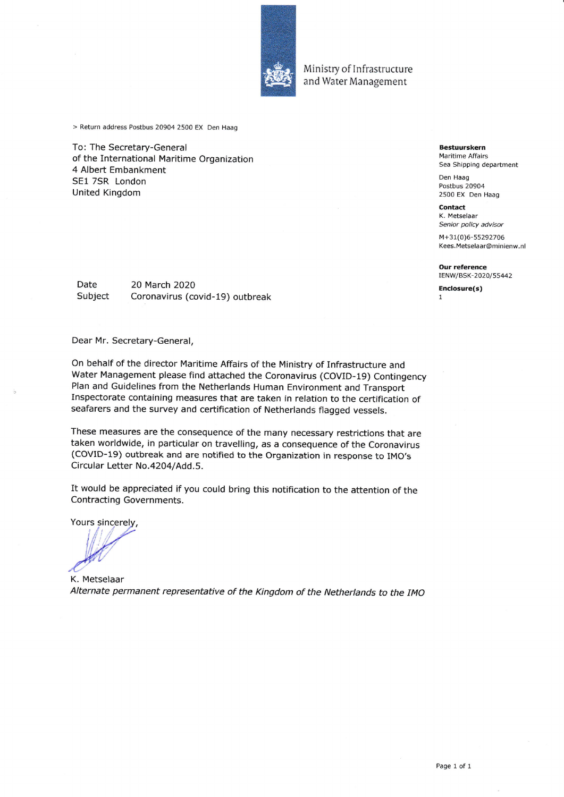

Ministry of Infrastructure and Water Management

> Return address Postbus 20904 2500 EX Den Haag

To: The Secretary-General of the International Maritime Organization 4 Albert Embankment SE1 7SR London **United Kingdom** 

**Bestuurskern** Maritime Affairs Sea Shipping department

Den Haag Postbus 20904 2500 EX Den Haag

**Contact** K. Metselaar Senior policy advisor

M+31(0)6-55292706 Kees.Metselaar@minienw.nl

**Our reference** IENW/BSK-2020/55442

Enclosure(s)  $\mathbf{1}$ 

Date 20 March 2020 Subject Coronavirus (covid-19) outbreak

Dear Mr. Secretary-General,

On behalf of the director Maritime Affairs of the Ministry of Infrastructure and Water Management please find attached the Coronavirus (COVID-19) Contingency Plan and Guidelines from the Netherlands Human Environment and Transport Inspectorate containing measures that are taken in relation to the certification of seafarers and the survey and certification of Netherlands flagged vessels.

These measures are the consequence of the many necessary restrictions that are taken worldwide, in particular on travelling, as a consequence of the Coronavirus (COVID-19) outbreak and are notified to the Organization in response to IMO's Circular Letter No.4204/Add.5.

It would be appreciated if you could bring this notification to the attention of the Contracting Governments.

Yours sincerely,

K. Metselaar Alternate permanent representative of the Kingdom of the Netherlands to the IMO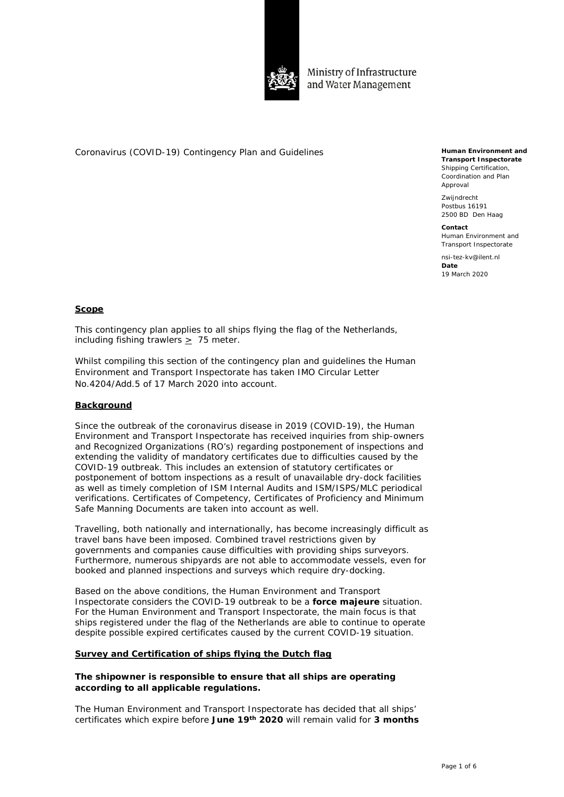

Ministry of Infrastructure and Water Management

Coronavirus (COVID-19) Contingency Plan and Guidelines

**Human Environment and Transport Inspectorate** Shipping Certification, Coordination and Plan Approval

Zwijndrecht Postbus 16191 2500 BD Den Haag

**Contact** Human Environment and Transport Inspectorate

nsi-tez-kv@ilent.nl **Date** 19 March 2020

# **Scope**

This contingency plan applies to all ships flying the flag of the Netherlands, including fishing trawlers > 75 meter.

Whilst compiling this section of the contingency plan and guidelines the Human Environment and Transport Inspectorate has taken IMO Circular Letter No.4204/Add.5 of 17 March 2020 into account.

# **Background**

Since the outbreak of the coronavirus disease in 2019 (COVID-19), the Human Environment and Transport Inspectorate has received inquiries from ship-owners and Recognized Organizations (RO's) regarding postponement of inspections and extending the validity of mandatory certificates due to difficulties caused by the COVID-19 outbreak. This includes an extension of statutory certificates or postponement of bottom inspections as a result of unavailable dry-dock facilities as well as timely completion of ISM Internal Audits and ISM/ISPS/MLC periodical verifications. Certificates of Competency, Certificates of Proficiency and Minimum Safe Manning Documents are taken into account as well.

Travelling, both nationally and internationally, has become increasingly difficult as travel bans have been imposed. Combined travel restrictions given by governments and companies cause difficulties with providing ships surveyors. Furthermore, numerous shipyards are not able to accommodate vessels, even for booked and planned inspections and surveys which require dry-docking.

Based on the above conditions, the Human Environment and Transport Inspectorate considers the COVID-19 outbreak to be a *force majeure* situation. For the Human Environment and Transport Inspectorate, the main focus is that ships registered under the flag of the Netherlands are able to continue to operate despite possible expired certificates caused by the current COVID-19 situation.

#### **Survey and Certification of ships flying the Dutch flag**

# **The shipowner is responsible to ensure that all ships are operating according to all applicable regulations.**

The Human Environment and Transport Inspectorate has decided that all ships' certificates which expire before **June 19th 2020** will remain valid for **3 months**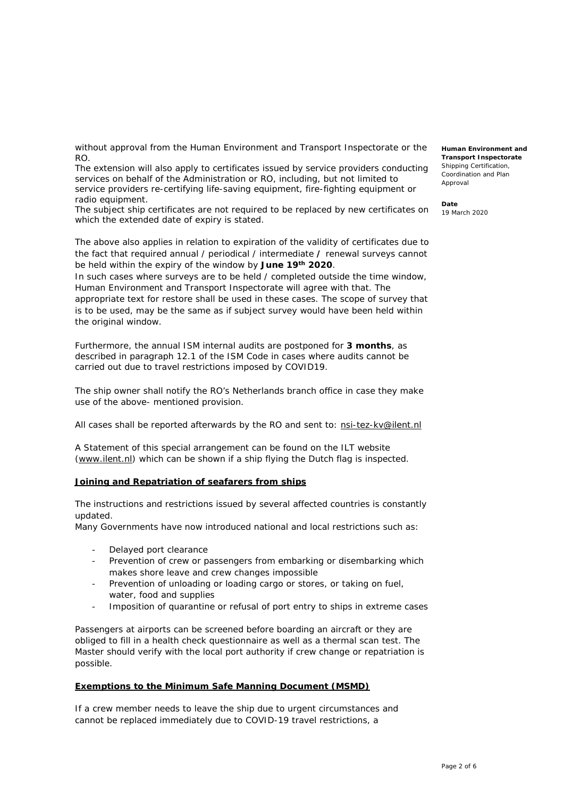without approval from the Human Environment and Transport Inspectorate or the RO.

The extension will also apply to certificates issued by service providers conducting services on behalf of the Administration or RO, including, but not limited to service providers re-certifying life-saving equipment, fire-fighting equipment or radio equipment.

The subject ship certificates are not required to be replaced by new certificates on which the extended date of expiry is stated.

The above also applies in relation to expiration of the validity of certificates due to the fact that required annual / periodical / intermediate **/** renewal surveys cannot be held within the expiry of the window by **June 19th 2020**.

In such cases where surveys are to be held / completed outside the time window, Human Environment and Transport Inspectorate will agree with that. The appropriate text for restore shall be used in these cases. The scope of survey that is to be used, may be the same as if subject survey would have been held within the original window.

Furthermore, the annual ISM internal audits are postponed for **3 months**, as described in paragraph 12.1 of the ISM Code in cases where audits cannot be carried out due to travel restrictions imposed by COVID19.

The ship owner shall notify the RO's Netherlands branch office in case they make use of the above- mentioned provision.

All cases shall be reported afterwards by the RO and sent to: [nsi-tez-kv@ilent.nl](mailto:nsi-tez-kv@ilent.nl)

A Statement of this special arrangement can be found on the ILT website [\(www.ilent.nl\)](https://eur01.safelinks.protection.outlook.com/?url=http%3A%2F%2Fwww.ilent.nl%2F&data=02%7C01%7Cmww.tsm%40dnvgl.com%7C5fa537724e7b42c5e92408d7ca5ef793%7Cadf10e2bb6e941d6be2fc12bb566019c%7C1%7C0%7C637200381572890612&sdata=gI6t9fLjyMJ7MCJ4VMoDpzOdM5pzz1MSNp0Av7c0aG0%3D&reserved=0) which can be shown if a ship flying the Dutch flag is inspected.

#### **Joining and Repatriation of seafarers from ships**

The instructions and restrictions issued by several affected countries is constantly updated.

Many Governments have now introduced national and local restrictions such as:

- Delayed port clearance
- Prevention of crew or passengers from embarking or disembarking which makes shore leave and crew changes impossible
- Prevention of unloading or loading cargo or stores, or taking on fuel, water, food and supplies
- Imposition of quarantine or refusal of port entry to ships in extreme cases

Passengers at airports can be screened before boarding an aircraft or they are obliged to fill in a health check questionnaire as well as a thermal scan test. The Master should verify with the local port authority if crew change or repatriation is possible.

#### **Exemptions to the Minimum Safe Manning Document (MSMD)**

If a crew member needs to leave the ship due to urgent circumstances and cannot be replaced immediately due to COVID-19 travel restrictions, a

**Human Environment and Transport Inspectorate** Shipping Certification, Coordination and Plan Approval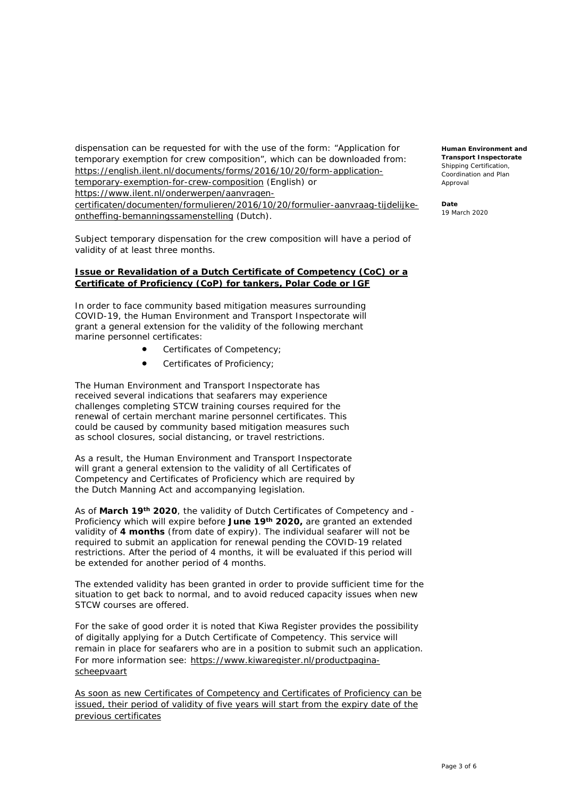dispensation can be requested for with the use of the form: "Application for temporary exemption for crew composition", which can be downloaded from: [https://english.ilent.nl/documents/forms/2016/10/20/form-application](https://english.ilent.nl/documents/forms/2016/10/20/form-application-temporary-exemption-for-crew-composition)[temporary-exemption-for-crew-composition](https://english.ilent.nl/documents/forms/2016/10/20/form-application-temporary-exemption-for-crew-composition) (English) or [https://www.ilent.nl/onderwerpen/aanvragen](https://www.ilent.nl/onderwerpen/aanvragen-certificaten/documenten/formulieren/2016/10/20/formulier-aanvraag-tijdelijke-ontheffing-bemanningssamenstelling)[certificaten/documenten/formulieren/2016/10/20/formulier-aanvraag-tijdelijke](https://www.ilent.nl/onderwerpen/aanvragen-certificaten/documenten/formulieren/2016/10/20/formulier-aanvraag-tijdelijke-ontheffing-bemanningssamenstelling)[ontheffing-bemanningssamenstelling](https://www.ilent.nl/onderwerpen/aanvragen-certificaten/documenten/formulieren/2016/10/20/formulier-aanvraag-tijdelijke-ontheffing-bemanningssamenstelling) (Dutch).

Subject temporary dispensation for the crew composition will have a period of validity of at least three months.

#### **Issue or Revalidation of a Dutch Certificate of Competency (CoC) or a Certificate of Proficiency (CoP) for tankers, Polar Code or IGF**

In order to face community based mitigation measures surrounding COVID-19, the Human Environment and Transport Inspectorate will grant a general extension for the validity of the following merchant marine personnel certificates:

- Certificates of Competency;
- Certificates of Proficiency;

The Human Environment and Transport Inspectorate has received several indications that seafarers may experience challenges completing STCW training courses required for the renewal of certain merchant marine personnel certificates. This could be caused by community based mitigation measures such as school closures, social distancing, or travel restrictions.

As a result, the Human Environment and Transport Inspectorate will grant a general extension to the validity of all Certificates of Competency and Certificates of Proficiency which are required by the Dutch Manning Act and accompanying legislation.

As of **March 19th 2020**, the validity of Dutch Certificates of Competency and - Proficiency which will expire before **June 19th 2020,** are granted an extended validity of **4 months** (from date of expiry). The individual seafarer will not be required to submit an application for renewal pending the COVID-19 related restrictions. After the period of 4 months, it will be evaluated if this period will be extended for another period of 4 months.

The extended validity has been granted in order to provide sufficient time for the situation to get back to normal, and to avoid reduced capacity issues when new STCW courses are offered.

For the sake of good order it is noted that Kiwa Register provides the possibility of digitally applying for a Dutch Certificate of Competency. This service will remain in place for seafarers who are in a position to submit such an application. For more information see: [https://www.kiwaregister.nl/productpagina](https://www.kiwaregister.nl/productpagina-scheepvaart)[scheepvaart](https://www.kiwaregister.nl/productpagina-scheepvaart) 

As soon as new Certificates of Competency and Certificates of Proficiency can be issued, their period of validity of five years will start from the expiry date of the previous certificates

**Human Environment and Transport Inspectorate** Shinning Certification Coordination and Plan Approval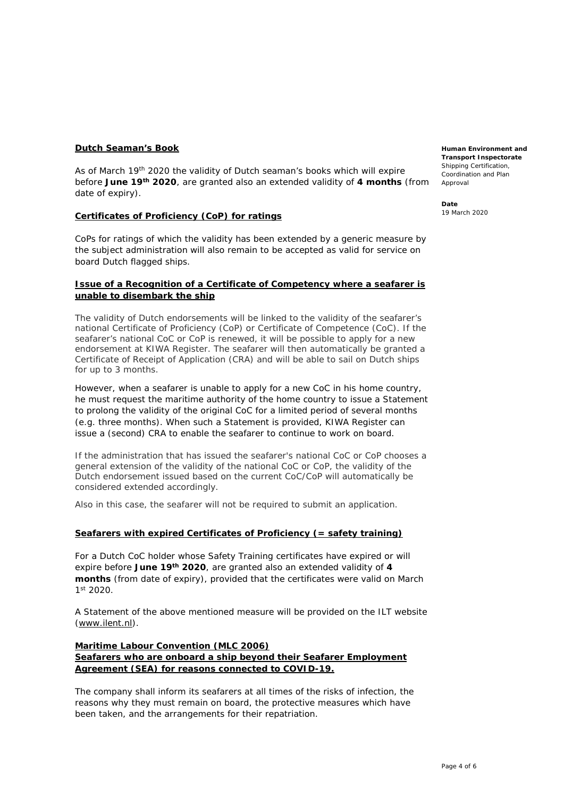# **Dutch Seaman's Book**

As of March 19<sup>th</sup> 2020 the validity of Dutch seaman's books which will expire before **June 19th 2020**, are granted also an extended validity of **4 months** (from date of expiry).

# **Certificates of Proficiency (CoP) for ratings**

CoPs for ratings of which the validity has been extended by a generic measure by the subject administration will also remain to be accepted as valid for service on board Dutch flagged ships.

# **Issue of a Recognition of a Certificate of Competency where a seafarer is unable to disembark the ship**

The validity of Dutch endorsements will be linked to the validity of the seafarer's national Certificate of Proficiency (CoP) or Certificate of Competence (CoC). If the seafarer's national CoC or CoP is renewed, it will be possible to apply for a new endorsement at KIWA Register. The seafarer will then automatically be granted a Certificate of Receipt of Application (CRA) and will be able to sail on Dutch ships for up to 3 months.

However, when a seafarer is unable to apply for a new CoC in his home country, he must request the maritime authority of the home country to issue a Statement to prolong the validity of the original CoC for a limited period of several months (e.g. three months). When such a Statement is provided, KIWA Register can issue a (second) CRA to enable the seafarer to continue to work on board.

If the administration that has issued the seafarer's national CoC or CoP chooses a general extension of the validity of the national CoC or CoP, the validity of the Dutch endorsement issued based on the current CoC/CoP will automatically be considered extended accordingly.

Also in this case, the seafarer will not be required to submit an application.

# **Seafarers with expired Certificates of Proficiency (= safety training)**

For a Dutch CoC holder whose Safety Training certificates have expired or will expire before **June 19th 2020**, are granted also an extended validity of **4 months** (from date of expiry), provided that the certificates were valid on March 1st 2020.

A Statement of the above mentioned measure will be provided on the ILT website [\(www.ilent.nl\)](http://www.ilent.nl/).

# **Maritime Labour Convention (MLC 2006) Seafarers who are onboard a ship beyond their Seafarer Employment Agreement (SEA) for reasons connected to COVID-19.**

The company shall inform its seafarers at all times of the risks of infection, the reasons why they must remain on board, the protective measures which have been taken, and the arrangements for their repatriation.

**Human Environment and Transport Inspectorate** Shinning Certification Coordination and Plan Approval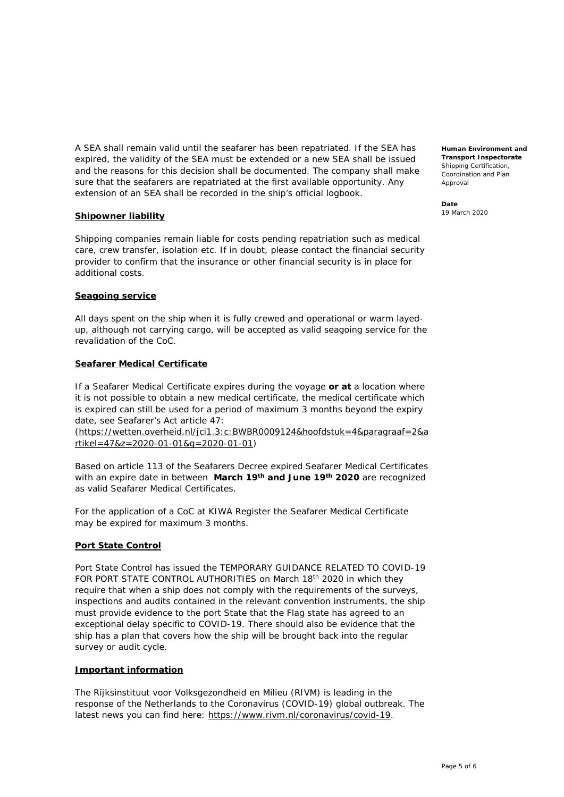A SEA shall remain valid until the seafarer has been repatriated. If the SEA has expired, the validity of the SEA must be extended or a new SEA shall be issued and the reasons for this decision shall be documented. The company shall make sure that the seafarers are repatriated at the first available opportunity. Any extension of an SEA shall be recorded in the ship's official logbook.

#### **Shipowner liability**

Shipping companies remain liable for costs pending repatriation such as medical care, crew transfer, isolation etc. If in doubt, please contact the financial security provider to confirm that the insurance or other financial security is in place for additional costs.

#### **Seagoing service**

All days spent on the ship when it is fully crewed and operational or warm layedup, although not carrying cargo, will be accepted as valid seagoing service for the revalidation of the CoC.

#### **Seafarer Medical Certificate**

If a Seafarer Medical Certificate expires during the voyage **or at** a location where it is not possible to obtain a new medical certificate, the medical certificate which is expired can still be used for a period of maximum 3 months beyond the expiry date, see Seafarer's Act article 47:

[\(https://wetten.overheid.nl/jci1.3:c:BWBR0009124&hoofdstuk=4&paragraaf=2&a](https://wetten.overheid.nl/jci1.3:c:BWBR0009124&hoofdstuk=4¶graaf=2&artikel=47&z=2020-01-01&g=2020-01-01) [rtikel=47&z=2020-01-01&g=2020-01-01\)](https://wetten.overheid.nl/jci1.3:c:BWBR0009124&hoofdstuk=4¶graaf=2&artikel=47&z=2020-01-01&g=2020-01-01)

Based on article 113 of the Seafarers Decree expired Seafarer Medical Certificates with an expire date in between **March 19th and June 19th 2020** are recognized as valid Seafarer Medical Certificates.

For the application of a CoC at KIWA Register the Seafarer Medical Certificate may be expired for maximum 3 months.

# **Port State Control**

Port State Control has issued the TEMPORARY GUIDANCE RELATED TO COVID-19 FOR PORT STATE CONTROL AUTHORITIES on March 18<sup>th</sup> 2020 in which they require that when a ship does not comply with the requirements of the surveys, inspections and audits contained in the relevant convention instruments, the ship must provide evidence to the port State that the Flag state has agreed to an exceptional delay specific to COVID-19. There should also be evidence that the ship has a plan that covers how the ship will be brought back into the regular survey or audit cycle.

#### **Important information**

The *Rijksinstituut voor Volksgezondheid en Milieu* (RIVM) is leading in the response of the Netherlands to the Coronavirus (COVID-19) global outbreak. The latest news you can find here: [https://www.rivm.nl/coronavirus/covid-19.](https://www.rivm.nl/coronavirus/covid-19)

**Human Environment and Transport Inspectorate** Shipping Certification, Coordination and Plan Approval